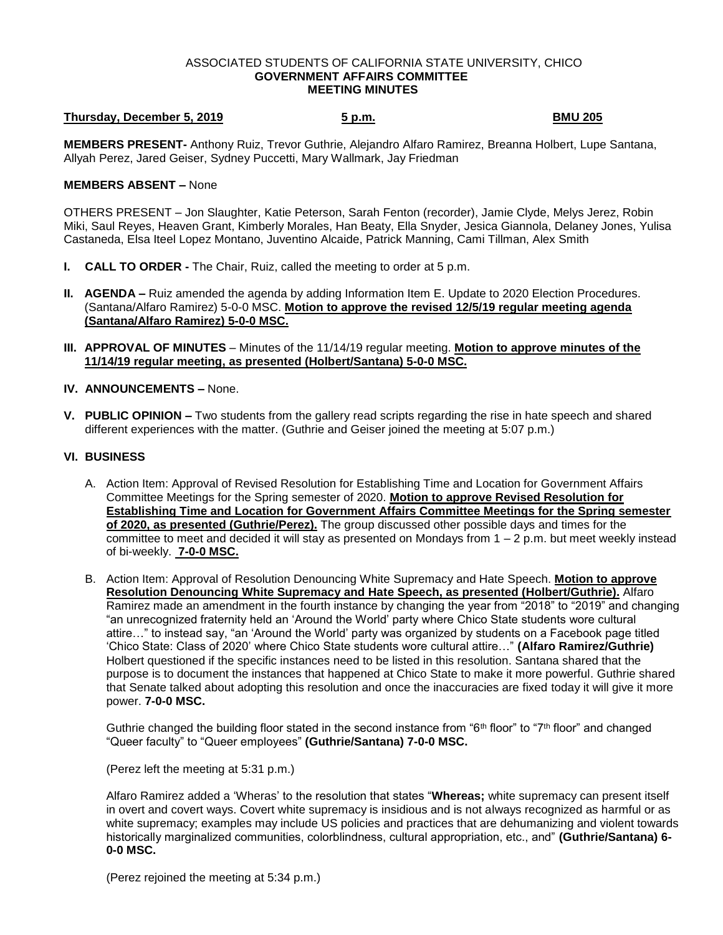#### ASSOCIATED STUDENTS OF CALIFORNIA STATE UNIVERSITY, CHICO **GOVERNMENT AFFAIRS COMMITTEE MEETING MINUTES**

# **Thursday, December 5, 2019 5 p.m. BMU 205**

**MEMBERS PRESENT-** Anthony Ruiz, Trevor Guthrie, Alejandro Alfaro Ramirez, Breanna Holbert, Lupe Santana, Allyah Perez, Jared Geiser, Sydney Puccetti, Mary Wallmark, Jay Friedman

### **MEMBERS ABSENT –** None

OTHERS PRESENT – Jon Slaughter, Katie Peterson, Sarah Fenton (recorder), Jamie Clyde, Melys Jerez, Robin Miki, Saul Reyes, Heaven Grant, Kimberly Morales, Han Beaty, Ella Snyder, Jesica Giannola, Delaney Jones, Yulisa Castaneda, Elsa Iteel Lopez Montano, Juventino Alcaide, Patrick Manning, Cami Tillman, Alex Smith

- **I. CALL TO ORDER -** The Chair, Ruiz, called the meeting to order at 5 p.m.
- **II. AGENDA –** Ruiz amended the agenda by adding Information Item E. Update to 2020 Election Procedures. (Santana/Alfaro Ramirez) 5-0-0 MSC. **Motion to approve the revised 12/5/19 regular meeting agenda (Santana/Alfaro Ramirez) 5-0-0 MSC.**
- **III. APPROVAL OF MINUTES** Minutes of the 11/14/19 regular meeting. **Motion to approve minutes of the 11/14/19 regular meeting, as presented (Holbert/Santana) 5-0-0 MSC.**
- **IV. ANNOUNCEMENTS –** None.
- **V. PUBLIC OPINION –** Two students from the gallery read scripts regarding the rise in hate speech and shared different experiences with the matter. (Guthrie and Geiser joined the meeting at 5:07 p.m.)

## **VI. BUSINESS**

- A. Action Item: Approval of Revised Resolution for Establishing Time and Location for Government Affairs Committee Meetings for the Spring semester of 2020. **Motion to approve Revised Resolution for Establishing Time and Location for Government Affairs Committee Meetings for the Spring semester of 2020, as presented (Guthrie/Perez).** The group discussed other possible days and times for the committee to meet and decided it will stay as presented on Mondays from 1 – 2 p.m. but meet weekly instead of bi-weekly. **7-0-0 MSC.**
- B. Action Item: Approval of Resolution Denouncing White Supremacy and Hate Speech. **Motion to approve Resolution Denouncing White Supremacy and Hate Speech, as presented (Holbert/Guthrie).** Alfaro Ramirez made an amendment in the fourth instance by changing the year from "2018" to "2019" and changing "an unrecognized fraternity held an 'Around the World' party where Chico State students wore cultural attire…" to instead say, "an 'Around the World' party was organized by students on a Facebook page titled 'Chico State: Class of 2020' where Chico State students wore cultural attire…" **(Alfaro Ramirez/Guthrie)**  Holbert questioned if the specific instances need to be listed in this resolution. Santana shared that the purpose is to document the instances that happened at Chico State to make it more powerful. Guthrie shared that Senate talked about adopting this resolution and once the inaccuracies are fixed today it will give it more power. **7-0-0 MSC.**

Guthrie changed the building floor stated in the second instance from " $6<sup>th</sup>$  floor" to "7<sup>th</sup> floor" and changed "Queer faculty" to "Queer employees" **(Guthrie/Santana) 7-0-0 MSC.**

(Perez left the meeting at 5:31 p.m.)

Alfaro Ramirez added a 'Wheras' to the resolution that states "**Whereas;** white supremacy can present itself in overt and covert ways. Covert white supremacy is insidious and is not always recognized as harmful or as white supremacy; examples may include US policies and practices that are dehumanizing and violent towards historically marginalized communities, colorblindness, cultural appropriation, etc., and" **(Guthrie/Santana) 6- 0-0 MSC.** 

(Perez rejoined the meeting at 5:34 p.m.)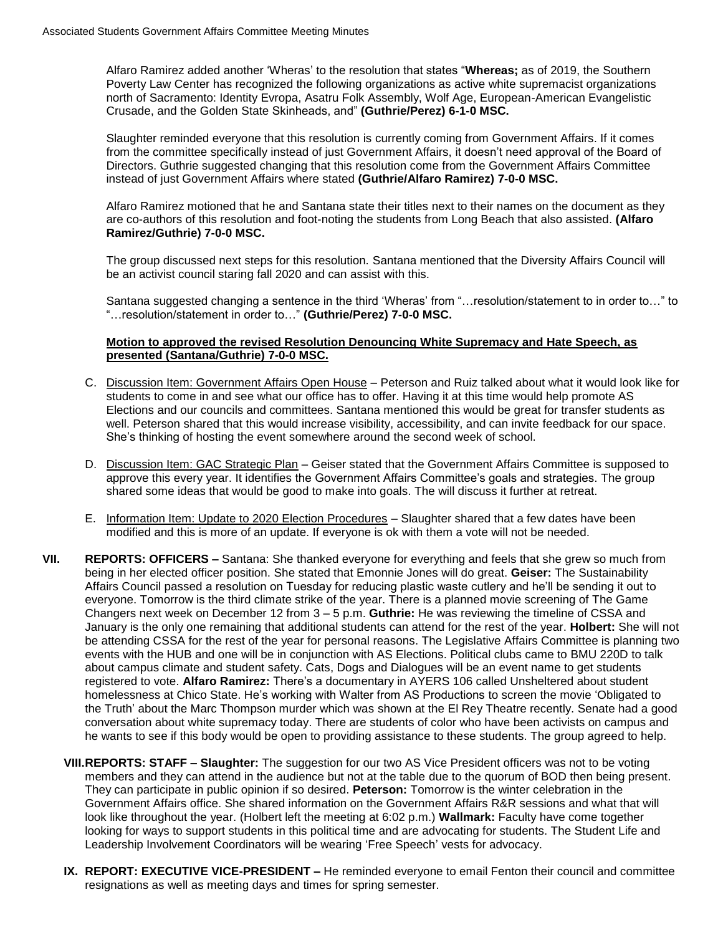Alfaro Ramirez added another 'Wheras' to the resolution that states "**Whereas;** as of 2019, the Southern Poverty Law Center has recognized the following organizations as active white supremacist organizations north of Sacramento: Identity Evropa, Asatru Folk Assembly, Wolf Age, European-American Evangelistic Crusade, and the Golden State Skinheads, and" **(Guthrie/Perez) 6-1-0 MSC.**

Slaughter reminded everyone that this resolution is currently coming from Government Affairs. If it comes from the committee specifically instead of just Government Affairs, it doesn't need approval of the Board of Directors. Guthrie suggested changing that this resolution come from the Government Affairs Committee instead of just Government Affairs where stated **(Guthrie/Alfaro Ramirez) 7-0-0 MSC.**

Alfaro Ramirez motioned that he and Santana state their titles next to their names on the document as they are co-authors of this resolution and foot-noting the students from Long Beach that also assisted. **(Alfaro Ramirez/Guthrie) 7-0-0 MSC.** 

The group discussed next steps for this resolution. Santana mentioned that the Diversity Affairs Council will be an activist council staring fall 2020 and can assist with this.

Santana suggested changing a sentence in the third 'Wheras' from "…resolution/statement to in order to…" to "…resolution/statement in order to…" **(Guthrie/Perez) 7-0-0 MSC.** 

#### **Motion to approved the revised Resolution Denouncing White Supremacy and Hate Speech, as presented (Santana/Guthrie) 7-0-0 MSC.**

- C. Discussion Item: Government Affairs Open House Peterson and Ruiz talked about what it would look like for students to come in and see what our office has to offer. Having it at this time would help promote AS Elections and our councils and committees. Santana mentioned this would be great for transfer students as well. Peterson shared that this would increase visibility, accessibility, and can invite feedback for our space. She's thinking of hosting the event somewhere around the second week of school.
- D. Discussion Item: GAC Strategic Plan Geiser stated that the Government Affairs Committee is supposed to approve this every year. It identifies the Government Affairs Committee's goals and strategies. The group shared some ideas that would be good to make into goals. The will discuss it further at retreat.
- E. Information Item: Update to 2020 Election Procedures Slaughter shared that a few dates have been modified and this is more of an update. If everyone is ok with them a vote will not be needed.
- **VII. REPORTS: OFFICERS –** Santana: She thanked everyone for everything and feels that she grew so much from being in her elected officer position. She stated that Emonnie Jones will do great. **Geiser:** The Sustainability Affairs Council passed a resolution on Tuesday for reducing plastic waste cutlery and he'll be sending it out to everyone. Tomorrow is the third climate strike of the year. There is a planned movie screening of The Game Changers next week on December 12 from 3 – 5 p.m. **Guthrie:** He was reviewing the timeline of CSSA and January is the only one remaining that additional students can attend for the rest of the year. **Holbert:** She will not be attending CSSA for the rest of the year for personal reasons. The Legislative Affairs Committee is planning two events with the HUB and one will be in conjunction with AS Elections. Political clubs came to BMU 220D to talk about campus climate and student safety. Cats, Dogs and Dialogues will be an event name to get students registered to vote. **Alfaro Ramirez:** There's a documentary in AYERS 106 called Unsheltered about student homelessness at Chico State. He's working with Walter from AS Productions to screen the movie 'Obligated to the Truth' about the Marc Thompson murder which was shown at the El Rey Theatre recently. Senate had a good conversation about white supremacy today. There are students of color who have been activists on campus and he wants to see if this body would be open to providing assistance to these students. The group agreed to help.
	- **VIII.REPORTS: STAFF – Slaughter:** The suggestion for our two AS Vice President officers was not to be voting members and they can attend in the audience but not at the table due to the quorum of BOD then being present. They can participate in public opinion if so desired. **Peterson:** Tomorrow is the winter celebration in the Government Affairs office. She shared information on the Government Affairs R&R sessions and what that will look like throughout the year. (Holbert left the meeting at 6:02 p.m.) **Wallmark:** Faculty have come together looking for ways to support students in this political time and are advocating for students. The Student Life and Leadership Involvement Coordinators will be wearing 'Free Speech' vests for advocacy.
	- **IX. REPORT: EXECUTIVE VICE-PRESIDENT –** He reminded everyone to email Fenton their council and committee resignations as well as meeting days and times for spring semester.